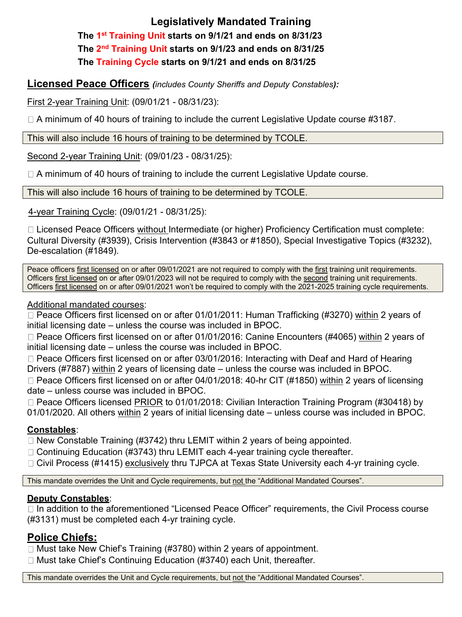**Legislatively Mandated Training The 1st Training Unit starts on 9/1/21 and ends on 8/31/23 The 2nd Training Unit starts on 9/1/23 and ends on 8/31/25 The Training Cycle starts on 9/1/21 and ends on 8/31/25**

## **Licensed Peace Officers** *(includes County Sheriffs and Deputy Constables):*

First 2-year Training Unit: (09/01/21 - 08/31/23):

 $\Box$  A minimum of 40 hours of training to include the current Legislative Update course #3187.

This will also include 16 hours of training to be determined by TCOLE.

Second 2-year Training Unit: (09/01/23 - 08/31/25):

□ A minimum of 40 hours of training to include the current Legislative Update course.

This will also include 16 hours of training to be determined by TCOLE.

4-year Training Cycle: (09/01/21 - 08/31/25):

Licensed Peace Officers without Intermediate (or higher) Proficiency Certification must complete: Cultural Diversity (#3939), Crisis Intervention (#3843 or #1850), Special Investigative Topics (#3232), De-escalation (#1849).

Peace officers first licensed on or after 09/01/2021 are not required to comply with the first training unit requirements. Officers first licensed on or after 09/01/2023 will not be required to comply with the second training unit requirements. Officers first licensed on or after 09/01/2021 won't be required to comply with the 2021-2025 training cycle requirements.

Additional mandated courses:

□ Peace Officers first licensed on or after 01/01/2011: Human Trafficking (#3270) within 2 years of initial licensing date – unless the course was included in BPOC.

□ Peace Officers first licensed on or after 01/01/2016: Canine Encounters (#4065) within 2 years of initial licensing date – unless the course was included in BPOC.

□ Peace Officers first licensed on or after 03/01/2016: Interacting with Deaf and Hard of Hearing Drivers (#7887) within 2 years of licensing date – unless the course was included in BPOC.

 $\Box$  Peace Officers first licensed on or after 04/01/2018: 40-hr CIT (#1850) within 2 years of licensing date – unless course was included in BPOC.

□ Peace Officers licensed PRIOR to 01/01/2018: Civilian Interaction Training Program (#30418) by 01/01/2020. All others within 2 years of initial licensing date – unless course was included in BPOC.

### **Constables**:

 $\Box$  New Constable Training (#3742) thru LEMIT within 2 years of being appointed.

□ Continuing Education (#3743) thru LEMIT each 4-year training cycle thereafter.

□ Civil Process (#1415) exclusively thru TJPCA at Texas State University each 4-yr training cycle.

This mandate overrides the Unit and Cycle requirements, but not the "Additional Mandated Courses".

### **Deputy Constables**:

 $\Box$  In addition to the aforementioned "Licensed Peace Officer" requirements, the Civil Process course (#3131) must be completed each 4-yr training cycle.

# **Police Chiefs:**

 $\Box$  Must take New Chief's Training (#3780) within 2 years of appointment.

 $\Box$  Must take Chief's Continuing Education (#3740) each Unit, thereafter.

This mandate overrides the Unit and Cycle requirements, but not the "Additional Mandated Courses".